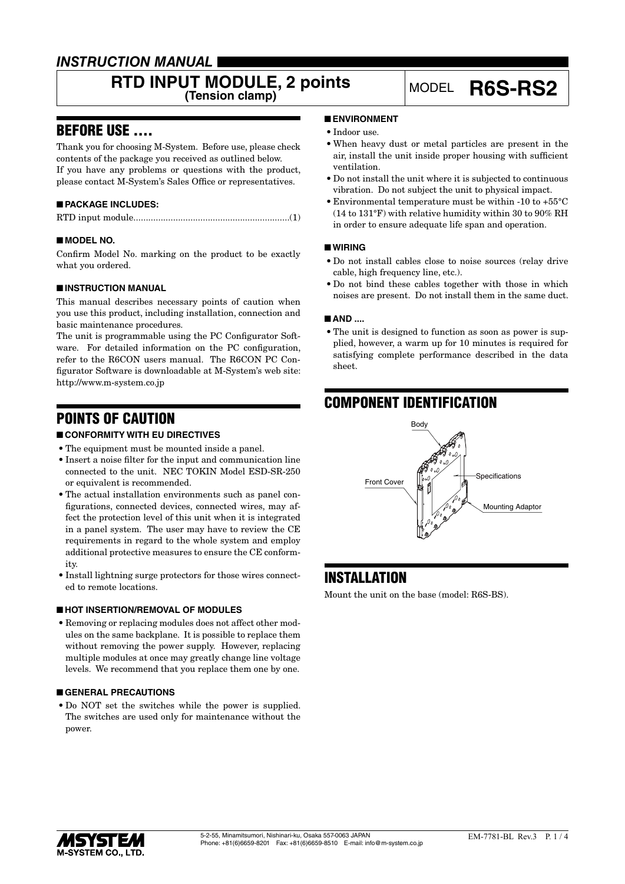# *INSTRUCTION MANUAL*

# **RTD INPUT MODULE, 2 points** MODEL **R6S-RS2**

# BEFORE USE ....

Thank you for choosing M-System. Before use, please check contents of the package you received as outlined below. If you have any problems or questions with the product, please contact M-System's Sales Office or representatives.

### ■ **PACKAGE INCLUDES:**

|--|--|--|

#### ■ **MODEL NO.**

Confirm Model No. marking on the product to be exactly what you ordered.

#### ■ **INSTRUCTION MANUAL**

This manual describes necessary points of caution when you use this product, including installation, connection and basic maintenance procedures.

The unit is programmable using the PC Configurator Software. For detailed information on the PC configuration, refer to the R6CON users manual. The R6CON PC Configurator Software is downloadable at M-System's web site: http://www.m-system.co.jp

# POINTS OF CAUTION

#### ■ **CONFORMITY WITH EU DIRECTIVES**

- The equipment must be mounted inside a panel.
- • Insert a noise filter for the input and communication line connected to the unit. NEC TOKIN Model ESD-SR-250 or equivalent is recommended.
- The actual installation environments such as panel configurations, connected devices, connected wires, may affect the protection level of this unit when it is integrated in a panel system. The user may have to review the CE requirements in regard to the whole system and employ additional protective measures to ensure the CE conformity.
- Install lightning surge protectors for those wires connected to remote locations.

#### ■ **HOT INSERTION/REMOVAL OF MODULES**

• Removing or replacing modules does not affect other modules on the same backplane. It is possible to replace them without removing the power supply. However, replacing multiple modules at once may greatly change line voltage levels. We recommend that you replace them one by one.

#### ■ **GENERAL PRECAUTIONS**

• Do NOT set the switches while the power is supplied. The switches are used only for maintenance without the power.

#### ■ **ENVIRONMENT**

- Indoor use.
- • When heavy dust or metal particles are present in the air, install the unit inside proper housing with sufficient ventilation.
- • Do not install the unit where it is subjected to continuous vibration. Do not subject the unit to physical impact.
- • Environmental temperature must be within -10 to +55°C (14 to 131°F) with relative humidity within 30 to 90% RH in order to ensure adequate life span and operation.

#### ■ **WIRING**

- • Do not install cables close to noise sources (relay drive cable, high frequency line, etc.).
- • Do not bind these cables together with those in which noises are present. Do not install them in the same duct.

#### ■ **AND** ....

• The unit is designed to function as soon as power is supplied, however, a warm up for 10 minutes is required for satisfying complete performance described in the data sheet.

# COMPONENT IDENTIFICATION



# INSTALLATION

Mount the unit on the base (model: R6S-BS).

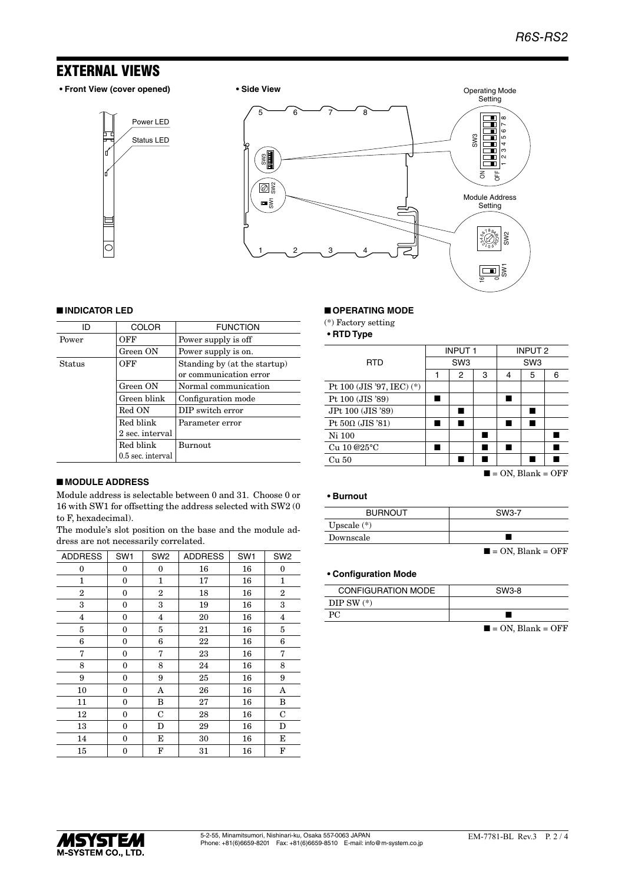# EXTERNAL VIEWS

**• Front View (cover opened) • Side View**

Status LED Power LED





#### ■ **INDICATOR LED**

| ID     | <b>COLOR</b>      | <b>FUNCTION</b>                                        |
|--------|-------------------|--------------------------------------------------------|
| Power  | OFF               | Power supply is off                                    |
|        | Green ON          | Power supply is on.                                    |
| Status | OFF               | Standing by (at the startup)<br>or communication error |
|        | Green ON          | Normal communication                                   |
|        | Green blink       | Configuration mode                                     |
|        | Red ON            | DIP switch error                                       |
|        | Red blink         | Parameter error                                        |
|        | 2 sec. interval   |                                                        |
|        | Red blink         | <b>Burnout</b>                                         |
|        | 0.5 sec. interval |                                                        |

#### ■ **MODULE ADDRESS**

Module address is selectable between 0 and 31. Choose 0 or 16 with SW1 for offsetting the address selected with SW2 (0 to F, hexadecimal).

The module's slot position on the base and the module address are not necessarily correlated.

| <b>ADDRESS</b> | SW <sub>1</sub> | SW <sub>2</sub> | <b>ADDRESS</b> | SW <sub>1</sub> | SW <sub>2</sub> |
|----------------|-----------------|-----------------|----------------|-----------------|-----------------|
| 0              | 0               | 0               | 16             | 16              | $\bf{0}$        |
| 1              | 0               | 1               | 17             | 16              | $\mathbf{1}$    |
| $\overline{2}$ | $\mathbf{0}$    | $\overline{2}$  | 18             | 16              | $\overline{2}$  |
| 3              | $\mathbf{0}$    | 3               | 19             | 16              | 3               |
| $\overline{4}$ | 0               | 4               | 20             | 16              | $\overline{4}$  |
| 5              | 0               | 5               | 21             | 16              | 5               |
| 6              | 0               | 6               | 22             | 16              | 6               |
| 7              | $\mathbf{0}$    | 7               | 23             | 16              | 7               |
| 8              | $\mathbf{0}$    | 8               | 24             | 16              | 8               |
| 9              | 0               | 9               | 25             | 16              | 9               |
| 10             | 0               | A               | 26             | 16              | A               |
| 11             | 0               | B               | 27             | 16              | B               |
| 12             | 0               | C               | 28             | 16              | C               |
| 13             | 0               | D               | 29             | 16              | D               |
| 14             | $\mathbf{0}$    | Е               | 30             | 16              | E               |
| 15             | 0               | F               | 31             | 16              | F               |

#### ■ **OPERATING MODE**

(\*) Factory setting

**• RTD Type**

|                                                | <b>INPUT1</b>   |   | <b>INPUT 2</b>  |   |   |   |
|------------------------------------------------|-----------------|---|-----------------|---|---|---|
| <b>RTD</b>                                     | SW <sub>3</sub> |   | SW <sub>3</sub> |   |   |   |
|                                                |                 | 2 | 3               | 4 | 5 | 6 |
| Pt 100 (JIS '97, IEC) (*)                      |                 |   |                 |   |   |   |
| Pt 100 (JIS '89)                               |                 |   |                 |   |   |   |
| JPt 100 (JIS '89)                              |                 |   |                 |   |   |   |
| Pt $50\Omega$ (JIS '81)                        |                 |   |                 |   |   |   |
| Ni 100                                         |                 |   |                 |   |   |   |
| Cu 10 @25°C                                    |                 |   |                 |   |   |   |
| Cu 50                                          |                 |   |                 |   |   |   |
| $\Omega_{\rm M}$ DI $\Omega$<br>$\triangle$ EE |                 |   |                 |   |   |   |

#### $\blacksquare$  = ON, Blank = OFF

#### **• Burnout**

| <b>BURNOUT</b> | SW3-7                            |
|----------------|----------------------------------|
| Upscale $(*)$  |                                  |
| Downscale      |                                  |
|                | $\blacksquare$ = ON, Blank = OFF |

#### **• Configuration Mode**

| <b>CONFIGURATION MODE</b> | SW3-8 |
|---------------------------|-------|
| $DIP SW (*)$              |       |
|                           |       |

 $\blacksquare$  = ON, Blank = OFF

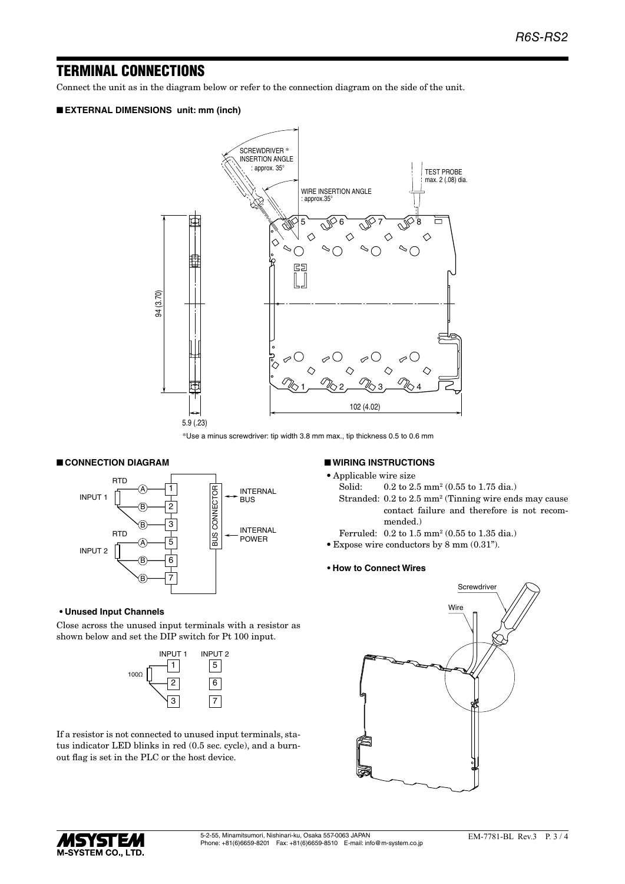## TERMINAL CONNECTIONS

Connect the unit as in the diagram below or refer to the connection diagram on the side of the unit.

#### ■ **EXTERNAL DIMENSIONS unit: mm (inch)**



\*Use a minus screwdriver: tip width 3.8 mm max., tip thickness 0.5 to 0.6 mm

#### ■ **CONNECTION DIAGRAM**



#### **• Unused Input Channels**

Close across the unused input terminals with a resistor as shown below and set the DIP switch for Pt 100 input.



If a resistor is not connected to unused input terminals, status indicator LED blinks in red (0.5 sec. cycle), and a burnout flag is set in the PLC or the host device.

#### ■ **WIRING INSTRUCTIONS**

• Applicable wire size

- Solid: 0.2 to 2.5 mm<sup>2</sup> (0.55 to 1.75 dia.)
- Stranded: 0.2 to 2.5 mm<sup>2</sup> (Tinning wire ends may cause contact failure and therefore is not recommended.)
- Ferruled: 0.2 to 1.5 mm<sup>2</sup> (0.55 to 1.35 dia.)
- • Expose wire conductors by 8 mm (0.31").

#### **• How to Connect Wires**